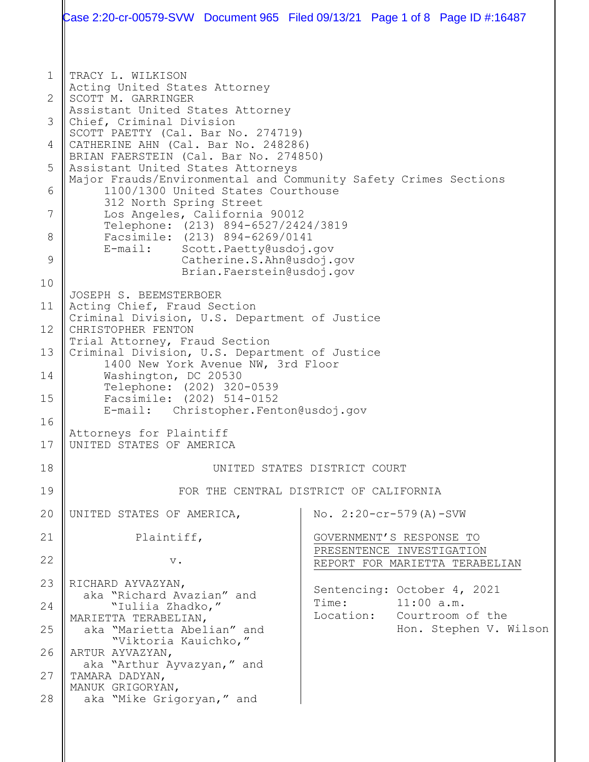1 2 3 4 5 6 7 8 9 10 11 12 13 14 15 16 17 18 19 20 21 22 23 24 25 26 27 28 TRACY L. WILKISON Acting United States Attorney SCOTT M. GARRINGER Assistant United States Attorney Chief, Criminal Division SCOTT PAETTY (Cal. Bar No. 274719) CATHERINE AHN (Cal. Bar No. 248286) BRIAN FAERSTEIN (Cal. Bar No. 274850) Assistant United States Attorneys Major Frauds/Environmental and Community Safety Crimes Sections 1100/1300 United States Courthouse 312 North Spring Street Los Angeles, California 90012 Telephone: (213) 894-6527/2424/3819 Facsimile: (213) 894-6269/0141<br>E-mail: Scott.Paetty@usdoi. Scott. Paetty@usdoj.gov Catherine.S.Ahn@usdoj.gov Brian.Faerstein@usdoj.gov JOSEPH S. BEEMSTERBOER Acting Chief, Fraud Section Criminal Division, U.S. Department of Justice CHRISTOPHER FENTON Trial Attorney, Fraud Section Criminal Division, U.S. Department of Justice 1400 New York Avenue NW, 3rd Floor Washington, DC 20530 Telephone: (202) 320-0539 Facsimile: (202) 514-0152<br>E-mail: Christopher.Fent Christopher. Fenton@usdoj.gov Attorneys for Plaintiff UNITED STATES OF AMERICA UNITED STATES DISTRICT COURT FOR THE CENTRAL DISTRICT OF CALIFORNIA UNITED STATES OF AMERICA, Plaintiff, v. RICHARD AYVAZYAN, aka "Richard Avazian" and "Iuliia Zhadko," MARIETTA TERABELIAN, aka "Marietta Abelian" and "Viktoria Kauichko," ARTUR AYVAZYAN, aka "Arthur Ayvazyan," and TAMARA DADYAN, MANUK GRIGORYAN, aka "Mike Grigoryan," and No. 2:20-cr-579(A)-SVW GOVERNMENT'S RESPONSE TO PRESENTENCE INVESTIGATION REPORT FOR MARIETTA TERABELIAN Sentencing: October 4, 2021<br>Time: 11:00 a.m. Time: 11:00 a.m.<br>Location: Courtroom Courtroom of the Hon. Stephen V. Wilson Case 2:20-cr-00579-SVW Document 965 Filed 09/13/21 Page 1 of 8 Page ID #:16487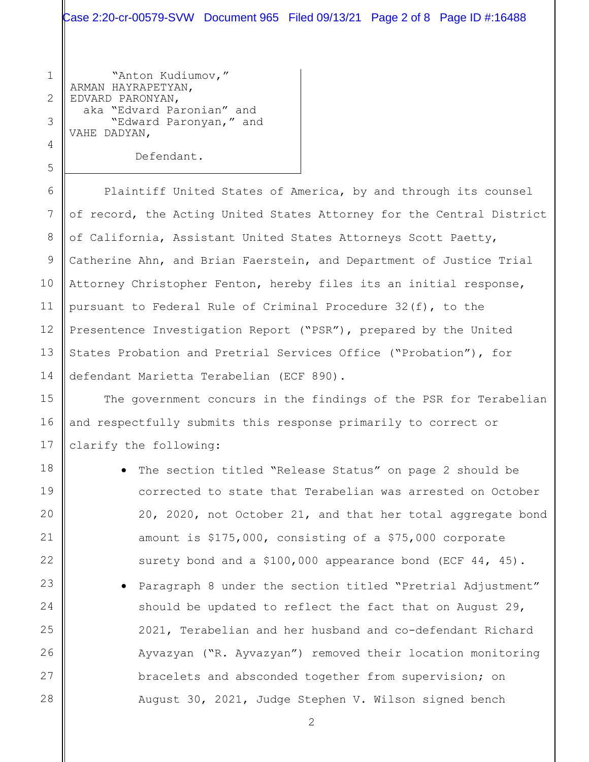Case 2:20-cr-00579-SVW Document 965 Filed 09/13/21 Page 2 of 8 Page ID #:16488

1 "Anton Kudiumov," ARMAN HAYRAPETYAN, EDVARD PARONYAN, aka "Edvard Paronian" and "Edward Paronyan," and VAHE DADYAN,

Defendant.

Plaintiff United States of America, by and through its counsel of record, the Acting United States Attorney for the Central District of California, Assistant United States Attorneys Scott Paetty, Catherine Ahn, and Brian Faerstein, and Department of Justice Trial Attorney Christopher Fenton, hereby files its an initial response, pursuant to Federal Rule of Criminal Procedure 32(f), to the Presentence Investigation Report ("PSR"), prepared by the United States Probation and Pretrial Services Office ("Probation"), for defendant Marietta Terabelian (ECF 890).

The government concurs in the findings of the PSR for Terabelian and respectfully submits this response primarily to correct or clarify the following:

The section titled "Release Status" on page 2 should be corrected to state that Terabelian was arrested on October 20, 2020, not October 21, and that her total aggregate bond amount is \$175,000, consisting of a \$75,000 corporate surety bond and a \$100,000 appearance bond (ECF 44, 45). • Paragraph 8 under the section titled "Pretrial Adjustment" should be updated to reflect the fact that on August 29, 2021, Terabelian and her husband and co-defendant Richard Ayvazyan ("R. Ayvazyan") removed their location monitoring bracelets and absconded together from supervision; on

2

August 30, 2021, Judge Stephen V. Wilson signed bench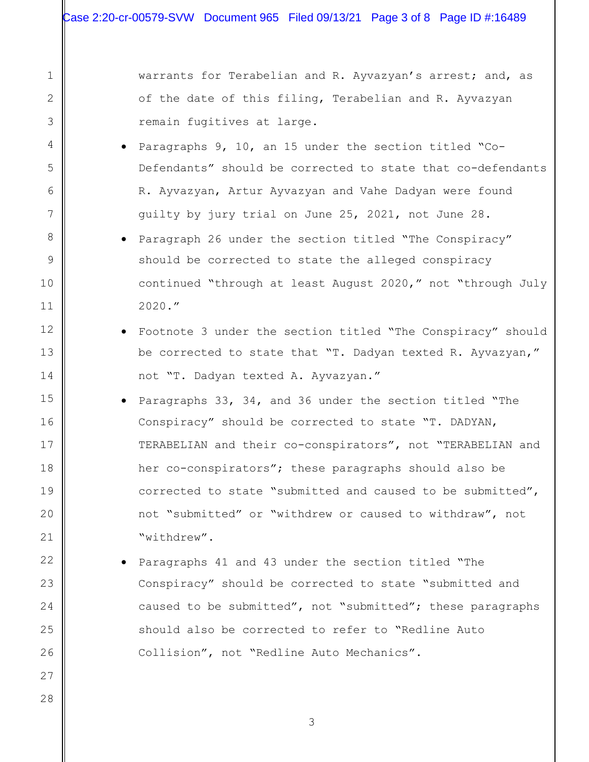2

3

4

5

6

7

8

9

10

11

12

13

14

15

16

17

18

19

20

21

22

23

24

25

26

27

28

warrants for Terabelian and R. Ayvazyan's arrest; and, as of the date of this filing, Terabelian and R. Ayvazyan remain fugitives at large.

- Paragraphs 9, 10, an 15 under the section titled "Co-Defendants" should be corrected to state that co-defendants R. Ayvazyan, Artur Ayvazyan and Vahe Dadyan were found guilty by jury trial on June 25, 2021, not June 28.
- Paragraph 26 under the section titled "The Conspiracy" should be corrected to state the alleged conspiracy continued "through at least August 2020," not "through July 2020."
- Footnote 3 under the section titled "The Conspiracy" should be corrected to state that "T. Dadyan texted R. Ayvazyan," not "T. Dadyan texted A. Ayvazyan."
- Paragraphs 33, 34, and 36 under the section titled "The Conspiracy" should be corrected to state "T. DADYAN, TERABELIAN and their co-conspirators", not "TERABELIAN and her co-conspirators"; these paragraphs should also be corrected to state "submitted and caused to be submitted", not "submitted" or "withdrew or caused to withdraw", not "withdrew".
- Paragraphs 41 and 43 under the section titled "The Conspiracy" should be corrected to state "submitted and caused to be submitted", not "submitted"; these paragraphs should also be corrected to refer to "Redline Auto Collision", not "Redline Auto Mechanics".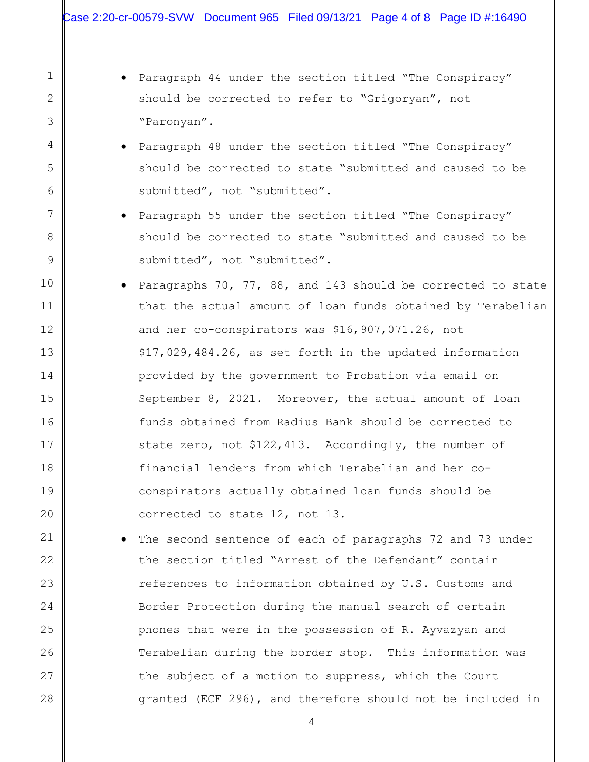2

3

4

5

6

7

8

9

10

11

12

13

14

15

16

17

18

19

20

21

22

23

24

25

26

27

28

• Paragraph 44 under the section titled "The Conspiracy" should be corrected to refer to "Grigoryan", not "Paronyan".

- Paragraph 48 under the section titled "The Conspiracy" should be corrected to state "submitted and caused to be submitted", not "submitted".
- Paragraph 55 under the section titled "The Conspiracy" should be corrected to state "submitted and caused to be submitted", not "submitted".
- Paragraphs 70, 77, 88, and 143 should be corrected to state that the actual amount of loan funds obtained by Terabelian and her co-conspirators was \$16,907,071.26, not \$17,029,484.26, as set forth in the updated information provided by the government to Probation via email on September 8, 2021. Moreover, the actual amount of loan funds obtained from Radius Bank should be corrected to state zero, not \$122,413. Accordingly, the number of financial lenders from which Terabelian and her coconspirators actually obtained loan funds should be corrected to state 12, not 13.
- The second sentence of each of paragraphs 72 and 73 under the section titled "Arrest of the Defendant" contain references to information obtained by U.S. Customs and Border Protection during the manual search of certain phones that were in the possession of R. Ayvazyan and Terabelian during the border stop. This information was the subject of a motion to suppress, which the Court granted (ECF 296), and therefore should not be included in

4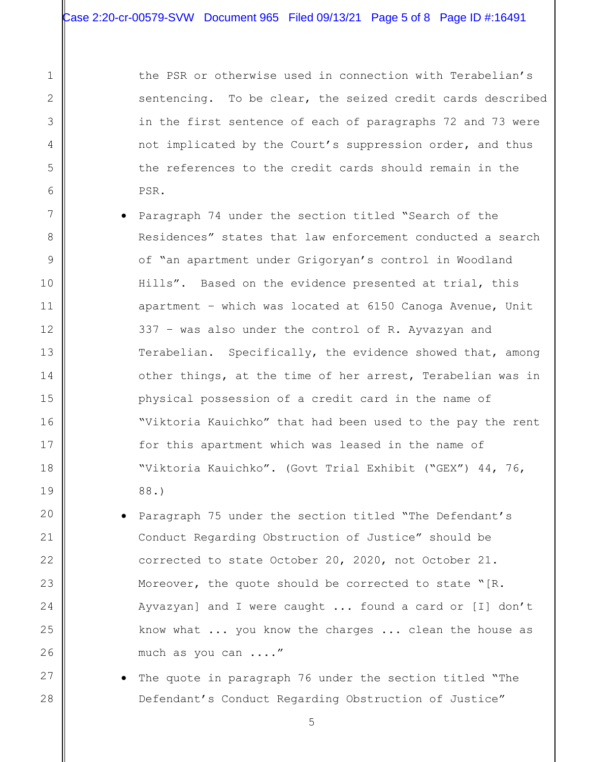2

3

4

5

6

7

8

9

10

11

12

13

14

15

16

17

18

19

20

21

22

23

24

25

26

27

28

the PSR or otherwise used in connection with Terabelian's sentencing. To be clear, the seized credit cards described in the first sentence of each of paragraphs 72 and 73 were not implicated by the Court's suppression order, and thus the references to the credit cards should remain in the PSR.

- Paragraph 74 under the section titled "Search of the Residences" states that law enforcement conducted a search of "an apartment under Grigoryan's control in Woodland Hills". Based on the evidence presented at trial, this apartment – which was located at 6150 Canoga Avenue, Unit 337 – was also under the control of R. Ayvazyan and Terabelian. Specifically, the evidence showed that, among other things, at the time of her arrest, Terabelian was in physical possession of a credit card in the name of "Viktoria Kauichko" that had been used to the pay the rent for this apartment which was leased in the name of "Viktoria Kauichko". (Govt Trial Exhibit ("GEX") 44, 76, 88.)
	- Paragraph 75 under the section titled "The Defendant's Conduct Regarding Obstruction of Justice" should be corrected to state October 20, 2020, not October 21. Moreover, the quote should be corrected to state "[R. Ayvazyan] and I were caught ... found a card or [I] don't know what ... you know the charges ... clean the house as much as you can ...."
	- The quote in paragraph 76 under the section titled "The Defendant's Conduct Regarding Obstruction of Justice"

5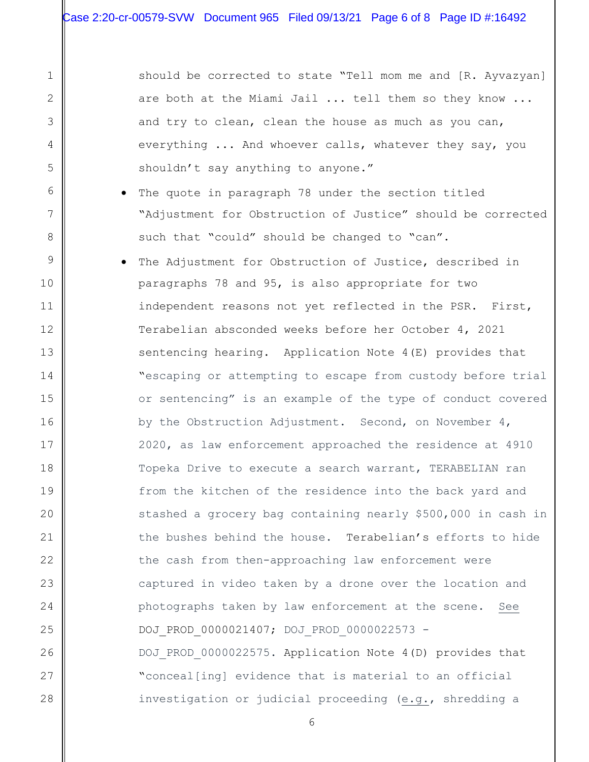2

3

4

5

6

7

8

9

10

11

12

13

14

15

16

17

18

19

20

21

22

23

24

25

26

27

28

should be corrected to state "Tell mom me and [R. Ayvazyan] are both at the Miami Jail ... tell them so they know ... and try to clean, clean the house as much as you can, everything ... And whoever calls, whatever they say, you shouldn't say anything to anyone."

- The quote in paragraph 78 under the section titled "Adjustment for Obstruction of Justice" should be corrected such that "could" should be changed to "can".
- The Adjustment for Obstruction of Justice, described in paragraphs 78 and 95, is also appropriate for two independent reasons not yet reflected in the PSR. First, Terabelian absconded weeks before her October 4, 2021 sentencing hearing. Application Note 4(E) provides that "escaping or attempting to escape from custody before trial or sentencing" is an example of the type of conduct covered by the Obstruction Adjustment. Second, on November 4, 2020, as law enforcement approached the residence at 4910 Topeka Drive to execute a search warrant, TERABELIAN ran from the kitchen of the residence into the back yard and stashed a grocery bag containing nearly \$500,000 in cash in the bushes behind the house. Terabelian's efforts to hide the cash from then-approaching law enforcement were captured in video taken by a drone over the location and photographs taken by law enforcement at the scene. See DOJ\_PROD\_0000021407; DOJ\_PROD\_0000022573 - DOJ PROD 0000022575. Application Note 4(D) provides that "conceal[ing] evidence that is material to an official investigation or judicial proceeding (e.g., shredding a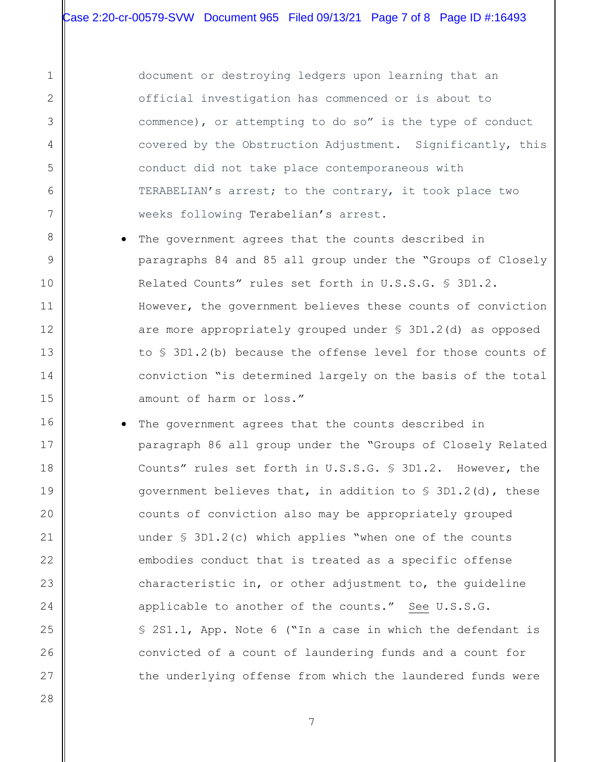document or destroying ledgers upon learning that an official investigation has commenced or is about to commence), or attempting to do so" is the type of conduct covered by the Obstruction Adjustment. Significantly, this conduct did not take place contemporaneous with TERABELIAN's arrest; to the contrary, it took place two weeks following Terabelian's arrest.

- The government agrees that the counts described in paragraphs 84 and 85 all group under the "Groups of Closely Related Counts" rules set forth in U.S.S.G. § 3D1.2. However, the government believes these counts of conviction are more appropriately grouped under § 3D1.2(d) as opposed to § 3D1.2(b) because the offense level for those counts of conviction "is determined largely on the basis of the total amount of harm or loss."
- The government agrees that the counts described in paragraph 86 all group under the "Groups of Closely Related Counts" rules set forth in U.S.S.G. § 3D1.2. However, the government believes that, in addition to § 3D1.2(d), these counts of conviction also may be appropriately grouped under § 3D1.2(c) which applies "when one of the counts embodies conduct that is treated as a specific offense characteristic in, or other adjustment to, the guideline applicable to another of the counts." See U.S.S.G. § 2S1.1, App. Note 6 ("In a case in which the defendant is convicted of a count of laundering funds and a count for the underlying offense from which the laundered funds were

27 28

1

2

3

4

5

6

7

8

9

10

11

12

13

14

15

16

17

18

19

20

21

22

23

24

25

26

7